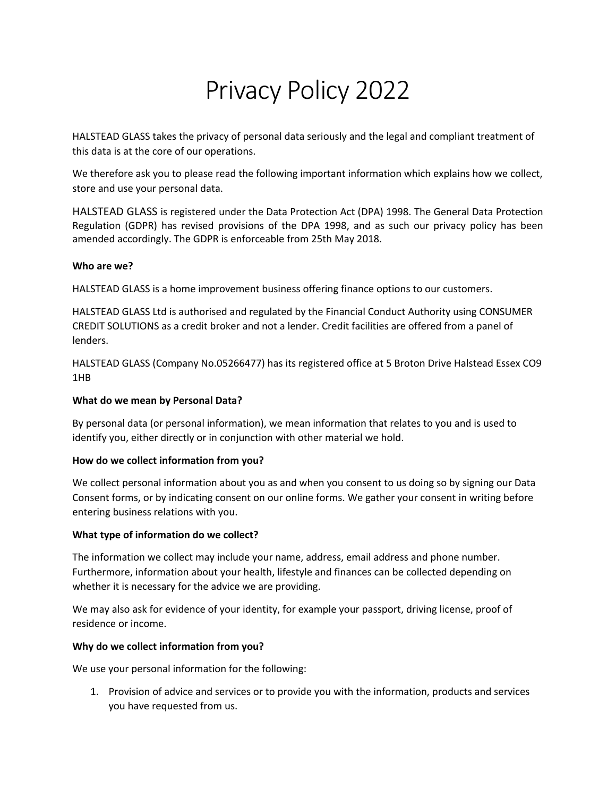# Privacy Policy 2022

HALSTEAD GLASS takes the privacy of personal data seriously and the legal and compliant treatment of this data is at the core of our operations.

We therefore ask you to please read the following important information which explains how we collect, store and use your personal data.

HALSTEAD GLASS is registered under the Data Protection Act (DPA) 1998. The General Data Protection Regulation (GDPR) has revised provisions of the DPA 1998, and as such our privacy policy has been amended accordingly. The GDPR is enforceable from 25th May 2018.

## **Who are we?**

HALSTEAD GLASS is a home improvement business offering finance options to our customers.

HALSTEAD GLASS Ltd is authorised and regulated by the Financial Conduct Authority using CONSUMER CREDIT SOLUTIONS as a credit broker and not a lender. Credit facilities are offered from a panel of lenders.

HALSTEAD GLASS (Company No.05266477) has its registered office at 5 Broton Drive Halstead Essex CO9 1HB

#### **What do we mean by Personal Data?**

By personal data (or personal information), we mean information that relates to you and is used to identify you, either directly or in conjunction with other material we hold.

## **How do we collect information from you?**

We collect personal information about you as and when you consent to us doing so by signing our Data Consent forms, or by indicating consent on our online forms. We gather your consent in writing before entering business relations with you.

## **What type of information do we collect?**

The information we collect may include your name, address, email address and phone number. Furthermore, information about your health, lifestyle and finances can be collected depending on whether it is necessary for the advice we are providing.

We may also ask for evidence of your identity, for example your passport, driving license, proof of residence or income.

## **Why do we collect information from you?**

We use your personal information for the following:

1. Provision of advice and services or to provide you with the information, products and services you have requested from us.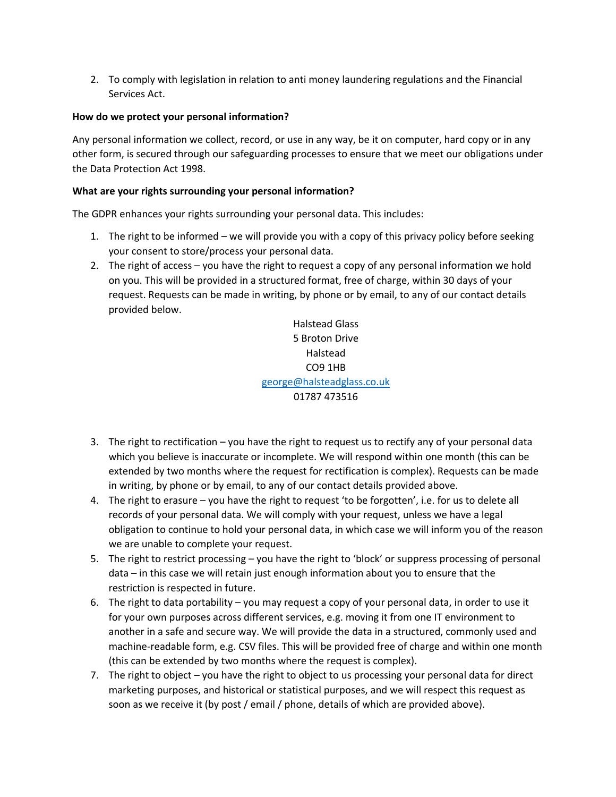2. To comply with legislation in relation to anti money laundering regulations and the Financial Services Act.

# **How do we protect your personal information?**

Any personal information we collect, record, or use in any way, be it on computer, hard copy or in any other form, is secured through our safeguarding processes to ensure that we meet our obligations under the Data Protection Act 1998.

# **What are your rights surrounding your personal information?**

The GDPR enhances your rights surrounding your personal data. This includes:

- 1. The right to be informed we will provide you with a copy of this privacy policy before seeking your consent to store/process your personal data.
- 2. The right of access you have the right to request a copy of any personal information we hold on you. This will be provided in a structured format, free of charge, within 30 days of your request. Requests can be made in writing, by phone or by email, to any of our contact details provided below.

Halstead Glass 5 Broton Drive Halstead CO9 1HB george@halsteadglass.co.uk 01787 473516

- 3. The right to rectification you have the right to request us to rectify any of your personal data which you believe is inaccurate or incomplete. We will respond within one month (this can be extended by two months where the request for rectification is complex). Requests can be made in writing, by phone or by email, to any of our contact details provided above.
- 4. The right to erasure you have the right to request 'to be forgotten', i.e. for us to delete all records of your personal data. We will comply with your request, unless we have a legal obligation to continue to hold your personal data, in which case we will inform you of the reason we are unable to complete your request.
- 5. The right to restrict processing you have the right to 'block' or suppress processing of personal data – in this case we will retain just enough information about you to ensure that the restriction is respected in future.
- 6. The right to data portability you may request a copy of your personal data, in order to use it for your own purposes across different services, e.g. moving it from one IT environment to another in a safe and secure way. We will provide the data in a structured, commonly used and machine-readable form, e.g. CSV files. This will be provided free of charge and within one month (this can be extended by two months where the request is complex).
- 7. The right to object you have the right to object to us processing your personal data for direct marketing purposes, and historical or statistical purposes, and we will respect this request as soon as we receive it (by post / email / phone, details of which are provided above).